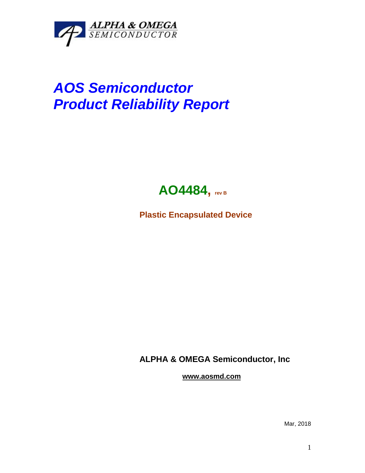

## *AOS Semiconductor Product Reliability Report*



**Plastic Encapsulated Device**

**ALPHA & OMEGA Semiconductor, Inc**

**www.aosmd.com**

Mar, 2018